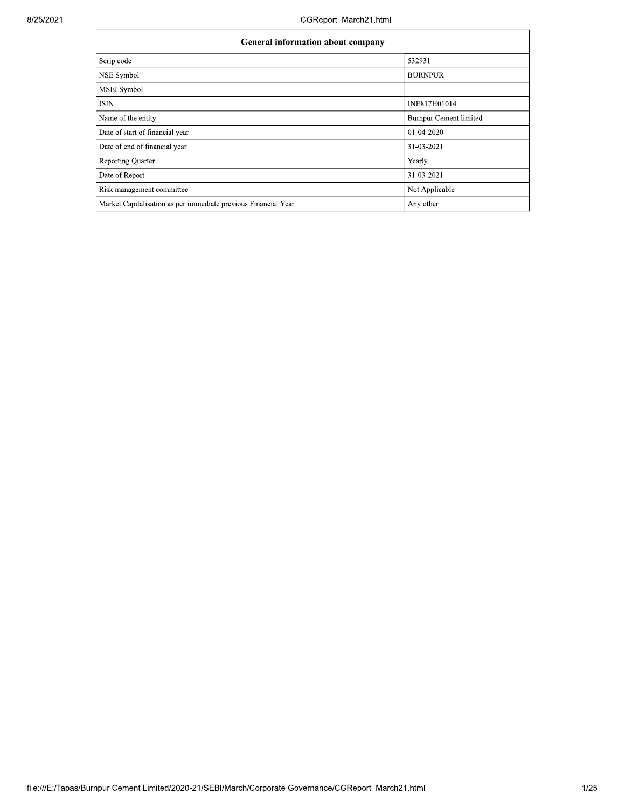| <b>General information about company</b>                       |                        |  |  |  |  |  |  |  |
|----------------------------------------------------------------|------------------------|--|--|--|--|--|--|--|
| Scrip code                                                     | 532931                 |  |  |  |  |  |  |  |
| NSE Symbol                                                     | <b>BURNPUR</b>         |  |  |  |  |  |  |  |
| <b>MSEI</b> Symbol                                             |                        |  |  |  |  |  |  |  |
| ISIN                                                           | INE817H01014           |  |  |  |  |  |  |  |
| Name of the entity                                             | Burnpur Cement limited |  |  |  |  |  |  |  |
| Date of start of financial year                                | 01-04-2020             |  |  |  |  |  |  |  |
| Date of end of financial year                                  | 31-03-2021             |  |  |  |  |  |  |  |
| <b>Reporting Quarter</b>                                       | Yearly                 |  |  |  |  |  |  |  |
| Date of Report                                                 | 31-03-2021             |  |  |  |  |  |  |  |
| Risk management committee                                      | Not Applicable         |  |  |  |  |  |  |  |
| Market Capitalisation as per immediate previous Financial Year | Any other              |  |  |  |  |  |  |  |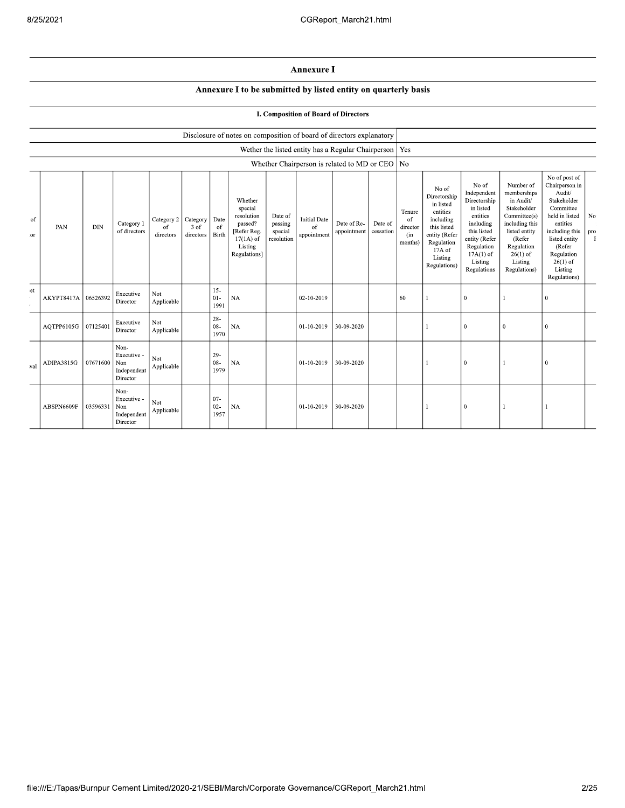## Annexure I

## Annexure I to be submitted by listed entity on quarterly basis

|  |  |  | I. Composition of Board of Directors |
|--|--|--|--------------------------------------|
|  |  |  |                                      |

|           |            |            |                                                       |                               |                                 |                          | Disclosure of notes on composition of board of directors explanatory                                 |                                             |                                                          |                            |                      |                                                       |                                                                                                                                                |                                                                                                                                                                   |                                                                                                                                                                          |                                                                                                                                                                                                         |                           |
|-----------|------------|------------|-------------------------------------------------------|-------------------------------|---------------------------------|--------------------------|------------------------------------------------------------------------------------------------------|---------------------------------------------|----------------------------------------------------------|----------------------------|----------------------|-------------------------------------------------------|------------------------------------------------------------------------------------------------------------------------------------------------|-------------------------------------------------------------------------------------------------------------------------------------------------------------------|--------------------------------------------------------------------------------------------------------------------------------------------------------------------------|---------------------------------------------------------------------------------------------------------------------------------------------------------------------------------------------------------|---------------------------|
|           |            |            |                                                       |                               |                                 |                          |                                                                                                      |                                             | Wether the listed entity has a Regular Chairperson   Yes |                            |                      |                                                       |                                                                                                                                                |                                                                                                                                                                   |                                                                                                                                                                          |                                                                                                                                                                                                         |                           |
|           |            |            |                                                       |                               |                                 |                          |                                                                                                      |                                             | Whether Chairperson is related to MD or CEO   No         |                            |                      |                                                       |                                                                                                                                                |                                                                                                                                                                   |                                                                                                                                                                          |                                                                                                                                                                                                         |                           |
| of<br>:or | PAN        | <b>DIN</b> | Category 1<br>of directors                            | Category 2<br>of<br>directors | Category<br>$3$ of<br>directors | Date<br>of<br>Birth      | Whether<br>special<br>resolution<br>passed?<br>[Refer Reg.<br>$17(1A)$ of<br>Listing<br>Regulations] | Date of<br>passing<br>special<br>resolution | <b>Initial Date</b><br>of<br>appointment                 | Date of Re-<br>appointment | Date of<br>cessation | Tenure<br><sup>of</sup><br>director<br>(in<br>months) | No of<br>Directorship<br>in listed<br>entities<br>including<br>this listed<br>entity (Refer<br>Regulation<br>17A of<br>Listing<br>Regulations) | No of<br>Independent<br>Directorship<br>in listed<br>entities<br>including<br>this listed<br>entity (Refer<br>Regulation<br>$17A(1)$ of<br>Listing<br>Regulations | Number of<br>memberships<br>in Audit/<br>Stakeholder<br>Committee(s)<br>including this<br>listed entity<br>(Refer<br>Regulation<br>$26(1)$ of<br>Listing<br>Regulations) | No of post of<br>Chairperson in<br>Audit/<br>Stakeholder<br>Committee<br>held in listed<br>entities<br>including this<br>listed entity<br>(Refer<br>Regulation<br>$26(1)$ of<br>Listing<br>Regulations) | No<br>pro<br>$\mathbf{F}$ |
| et        | AKYPT8417A | 06526392   | Executive<br>Director                                 | Not<br>Applicable             |                                 | $15 -$<br>$01 -$<br>1991 | <b>NA</b>                                                                                            |                                             | 02-10-2019                                               |                            |                      | 60                                                    |                                                                                                                                                | $\mathbf{0}$                                                                                                                                                      |                                                                                                                                                                          | $\overline{0}$                                                                                                                                                                                          |                           |
|           | AQTPP6105G | 07125401   | Executive<br>Director                                 | Not<br>Applicable             |                                 | $28 -$<br>$08 -$<br>1970 | <b>NA</b>                                                                                            |                                             | 01-10-2019                                               | 30-09-2020                 |                      |                                                       |                                                                                                                                                | $\bf{0}$                                                                                                                                                          | $\bf{0}$                                                                                                                                                                 | $\mathbf{0}$                                                                                                                                                                                            |                           |
| val       | ADIPA3815G | 07671600   | Non-<br>Executive -<br>Non<br>Independent<br>Director | Not<br>Applicable             |                                 | $29-$<br>$08 -$<br>1979  | <b>NA</b>                                                                                            |                                             | 01-10-2019                                               | 30-09-2020                 |                      |                                                       |                                                                                                                                                | $\mathbf{0}$                                                                                                                                                      |                                                                                                                                                                          | $\theta$                                                                                                                                                                                                |                           |
|           | ABSPN6609F | 03596331   | Non-<br>Executive -<br>Non<br>Independent<br>Director | Not<br>Applicable             |                                 | $07 -$<br>$02 -$<br>1957 | <b>NA</b>                                                                                            |                                             | 01-10-2019                                               | 30-09-2020                 |                      |                                                       |                                                                                                                                                | 0                                                                                                                                                                 |                                                                                                                                                                          |                                                                                                                                                                                                         |                           |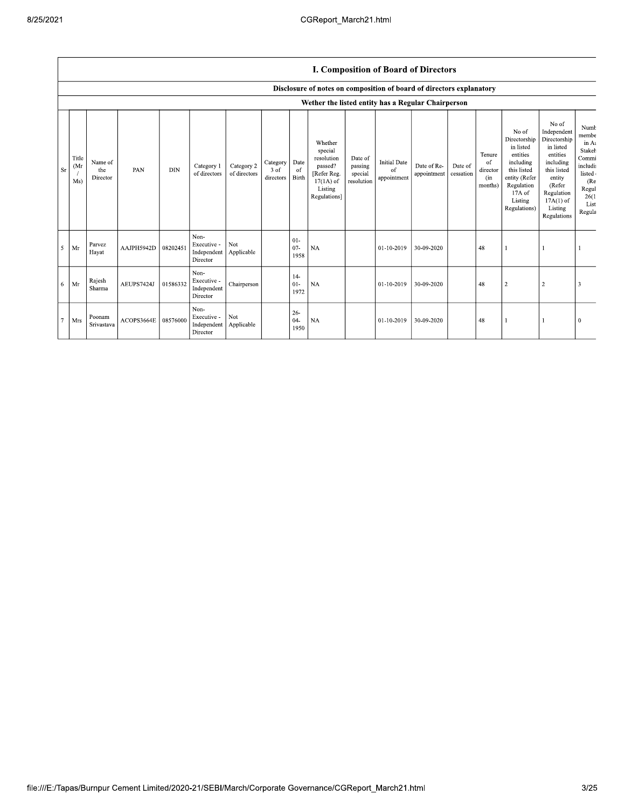## I. Composition of Board of Directors

|                |                     |                            |            |            |                                                |                            |                               |                             | Disclosure of notes on composition of board of directors explanatory                                 |                                             |                                          |                            |                      |                                            |                                                                                                                                                |                                                                                                                                                                      |                                                                                                           |
|----------------|---------------------|----------------------------|------------|------------|------------------------------------------------|----------------------------|-------------------------------|-----------------------------|------------------------------------------------------------------------------------------------------|---------------------------------------------|------------------------------------------|----------------------------|----------------------|--------------------------------------------|------------------------------------------------------------------------------------------------------------------------------------------------|----------------------------------------------------------------------------------------------------------------------------------------------------------------------|-----------------------------------------------------------------------------------------------------------|
|                |                     |                            |            |            |                                                |                            |                               |                             | Wether the listed entity has a Regular Chairperson                                                   |                                             |                                          |                            |                      |                                            |                                                                                                                                                |                                                                                                                                                                      |                                                                                                           |
| <b>Sr</b>      | Title<br>(Mr<br>Ms) | Name of<br>the<br>Director | PAN        | <b>DIN</b> | Category 1<br>of directors                     | Category 2<br>of directors | Category<br>3 of<br>directors | Date<br>-of<br><b>Birth</b> | Whether<br>special<br>resolution<br>passed?<br>[Refer Reg.<br>$17(1A)$ of<br>Listing<br>Regulations] | Date of<br>passing<br>special<br>resolution | <b>Initial Date</b><br>of<br>appointment | Date of Re-<br>appointment | Date of<br>cessation | Tenure<br>of<br>director<br>(in<br>months) | No of<br>Directorship<br>in listed<br>entities<br>including<br>this listed<br>entity (Refer<br>Regulation<br>17A of<br>Listing<br>Regulations) | No of<br>Independent<br>Directorship<br>in listed<br>entities<br>including<br>this listed<br>entity<br>(Refer<br>Regulation<br>$17A(1)$ of<br>Listing<br>Regulations | Numb<br>membe<br>in At<br>Stakeh<br>Commi<br>includi<br>listed<br>(Re<br>Regul<br>26(1)<br>List<br>Regula |
| 5              | Mr                  | Parvez<br>Hayat            | AAJPH5942D | 08202451   | Non-<br>Executive -<br>Independent<br>Director | Not<br>Applicable          |                               | $01 -$<br>$07 -$<br>1958    | <b>NA</b>                                                                                            |                                             | 01-10-2019                               | 30-09-2020                 |                      | 48                                         |                                                                                                                                                |                                                                                                                                                                      |                                                                                                           |
| 6              | Mr                  | Rajesh<br>Sharma           | AEUPS7424J | 01586332   | Non-<br>Executive -<br>Independent<br>Director | Chairperson                |                               | $14-$<br>$01 -$<br>1972     | <b>NA</b>                                                                                            |                                             | 01-10-2019                               | 30-09-2020                 |                      | 48                                         | $\overline{2}$                                                                                                                                 | $\overline{\mathbf{c}}$                                                                                                                                              |                                                                                                           |
| $\overline{7}$ | Mrs                 | Poonam<br>Srivastava       | ACOPS3664E | 08576000   | Non-<br>Executive -<br>Independent<br>Director | Not<br>Applicable          |                               | $26 -$<br>$04-$<br>1950     | <b>NA</b>                                                                                            |                                             | 01-10-2019                               | 30-09-2020                 |                      | 48                                         |                                                                                                                                                |                                                                                                                                                                      | $\theta$                                                                                                  |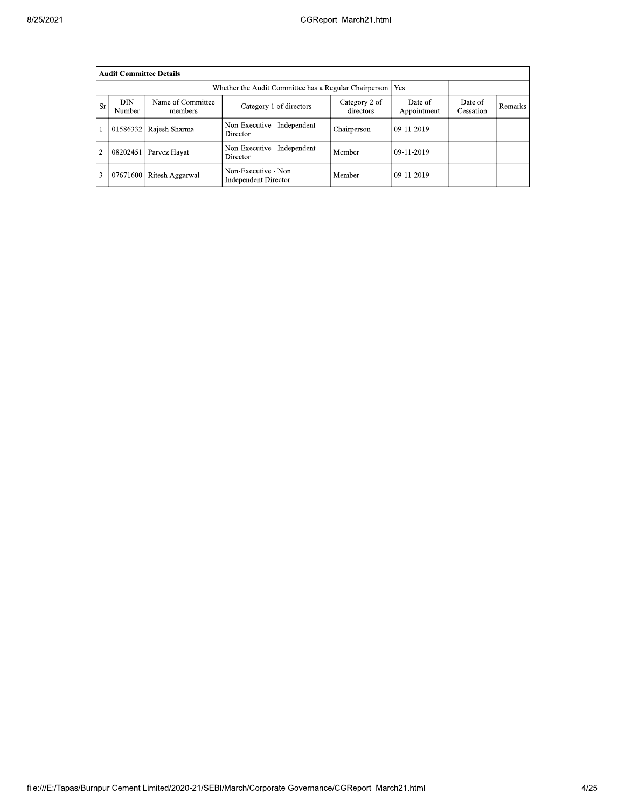| 8/25/2021 |                |                                                              |                              |                                                    | CGReport March21.html      |                        |                      |         |
|-----------|----------------|--------------------------------------------------------------|------------------------------|----------------------------------------------------|----------------------------|------------------------|----------------------|---------|
|           |                | <b>Audit Committee Details</b>                               |                              |                                                    |                            |                        |                      |         |
|           |                | Yes<br>Whether the Audit Committee has a Regular Chairperson |                              |                                                    |                            |                        |                      |         |
|           | <b>Sr</b>      | <b>DIN</b><br>Number                                         | Name of Committee<br>members | Category 1 of directors                            | Category 2 of<br>directors | Date of<br>Appointment | Date of<br>Cessation | Remarks |
|           |                |                                                              | 01586332 Rajesh Sharma       | Non-Executive - Independent<br>Director            | Chairperson                | 09-11-2019             |                      |         |
|           | $\overline{2}$ | 08202451                                                     | Parvez Hayat                 | Non-Executive - Independent<br>Director            | Member                     | 09-11-2019             |                      |         |
|           | 3              |                                                              | 07671600 Ritesh Aggarwal     | Non-Executive - Non<br><b>Independent Director</b> | Member                     | 09-11-2019             |                      |         |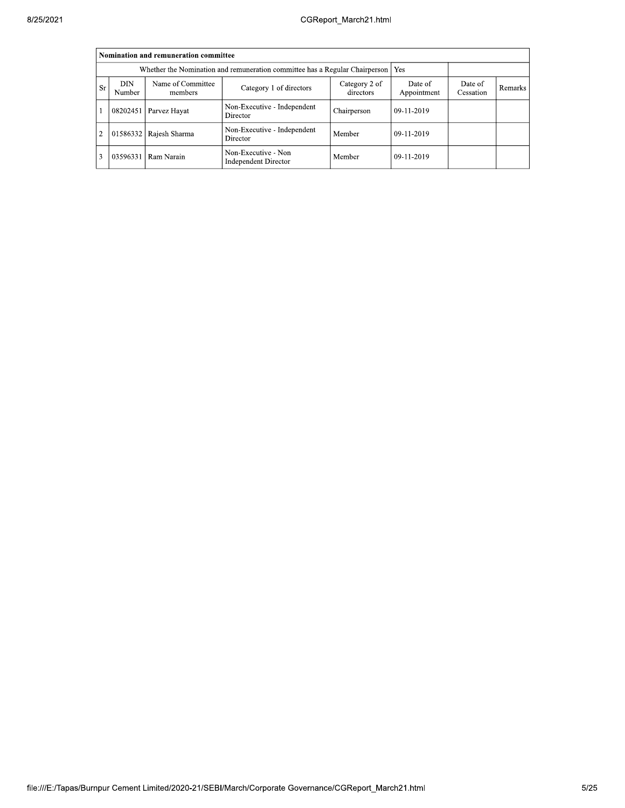|                | Nomination and remuneration committee                                                                                                                               |               |                                                    |             |            |  |  |  |  |  |  |  |
|----------------|---------------------------------------------------------------------------------------------------------------------------------------------------------------------|---------------|----------------------------------------------------|-------------|------------|--|--|--|--|--|--|--|
|                | Whether the Nomination and remuneration committee has a Regular Chairperson   Yes                                                                                   |               |                                                    |             |            |  |  |  |  |  |  |  |
| <b>Sr</b>      | Name of Committee<br>DIN<br>Date of<br>Category 2 of<br>Date of<br>Category 1 of directors<br>Remarks<br>Appointment<br>directors<br>Cessation<br>Number<br>members |               |                                                    |             |            |  |  |  |  |  |  |  |
|                | 08202451                                                                                                                                                            | Parvez Hayat  | Non-Executive - Independent<br>Director            | Chairperson | 09-11-2019 |  |  |  |  |  |  |  |
| $\overline{2}$ | 01586332                                                                                                                                                            | Rajesh Sharma | Non-Executive - Independent<br>Director            | Member      | 09-11-2019 |  |  |  |  |  |  |  |
|                | 03596331                                                                                                                                                            | Ram Narain    | Non-Executive - Non<br><b>Independent Director</b> | Member      | 09-11-2019 |  |  |  |  |  |  |  |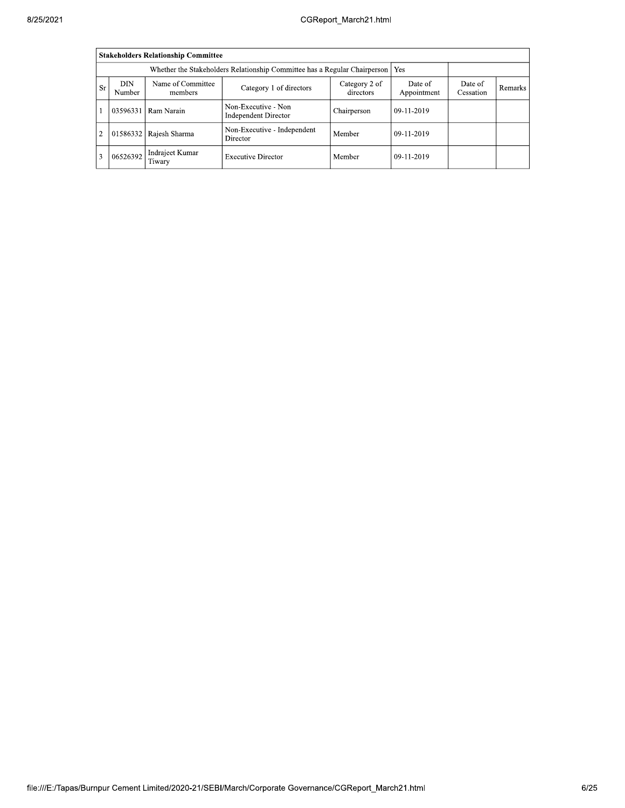|                |                                                                                                                                                                     | <b>Stakeholders Relationship Committee</b> |                                             |             |              |  |  |  |  |  |  |
|----------------|---------------------------------------------------------------------------------------------------------------------------------------------------------------------|--------------------------------------------|---------------------------------------------|-------------|--------------|--|--|--|--|--|--|
|                | Whether the Stakeholders Relationship Committee has a Regular Chairperson   Yes                                                                                     |                                            |                                             |             |              |  |  |  |  |  |  |
| <b>Sr</b>      | DIN<br>Name of Committee<br>Date of<br>Category 2 of<br>Date of<br>Category 1 of directors<br>Remarks<br>directors<br>Appointment<br>Cessation<br>Number<br>members |                                            |                                             |             |              |  |  |  |  |  |  |
|                | 03596331                                                                                                                                                            | Ram Narain                                 | Non-Executive - Non<br>Independent Director | Chairperson | 09-11-2019   |  |  |  |  |  |  |
| $\overline{2}$ | 01586332                                                                                                                                                            | Rajesh Sharma                              | Non-Executive - Independent<br>Director     | Member      | $09-11-2019$ |  |  |  |  |  |  |
| 3              | 06526392                                                                                                                                                            | Indrajeet Kumar<br>Tiwary                  | <b>Executive Director</b>                   | Member      | $09-11-2019$ |  |  |  |  |  |  |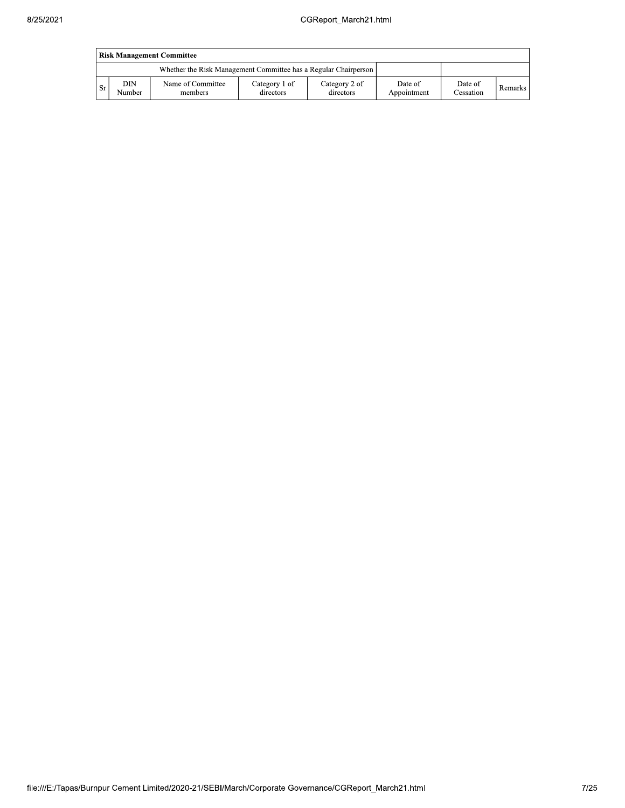|     | <b>Risk Management Committee</b> |                                                                 |                            |                            |                        |                             |                |  |  |  |  |  |
|-----|----------------------------------|-----------------------------------------------------------------|----------------------------|----------------------------|------------------------|-----------------------------|----------------|--|--|--|--|--|
|     |                                  | Whether the Risk Management Committee has a Regular Chairperson |                            |                            |                        |                             |                |  |  |  |  |  |
| -Sr | DIN<br>Number                    | Name of Committee<br>members                                    | Category 1 of<br>directors | Category 2 of<br>directors | Date of<br>Appointment | Date of<br><b>Cessation</b> | <b>Remarks</b> |  |  |  |  |  |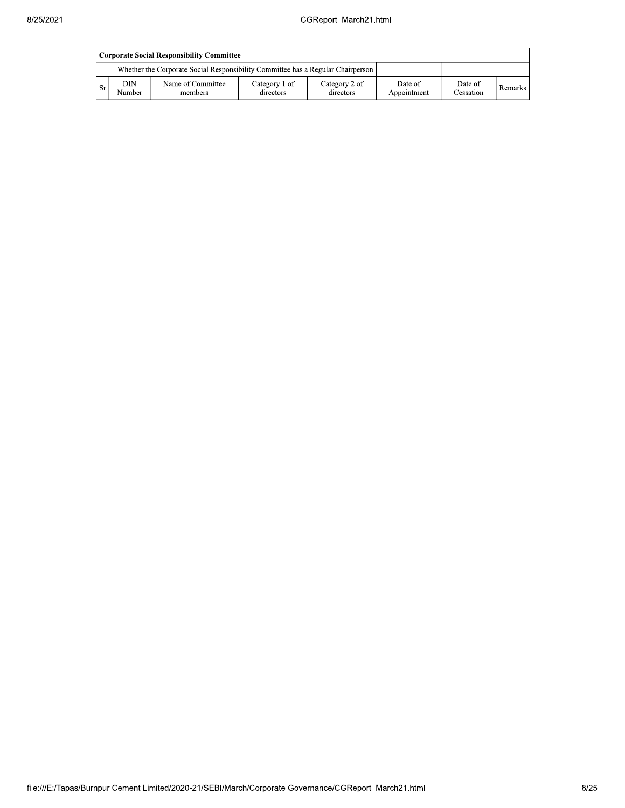|     | Corporate Social Responsibility Committee |                                                                                 |                            |                            |                        |                      |           |  |  |  |  |  |
|-----|-------------------------------------------|---------------------------------------------------------------------------------|----------------------------|----------------------------|------------------------|----------------------|-----------|--|--|--|--|--|
|     |                                           | Whether the Corporate Social Responsibility Committee has a Regular Chairperson |                            |                            |                        |                      |           |  |  |  |  |  |
| -Sr | DIN<br>Number                             | Name of Committee<br>members                                                    | Category 1 of<br>directors | Category 2 of<br>directors | Date of<br>Appointment | Date of<br>Cessation | Remarks I |  |  |  |  |  |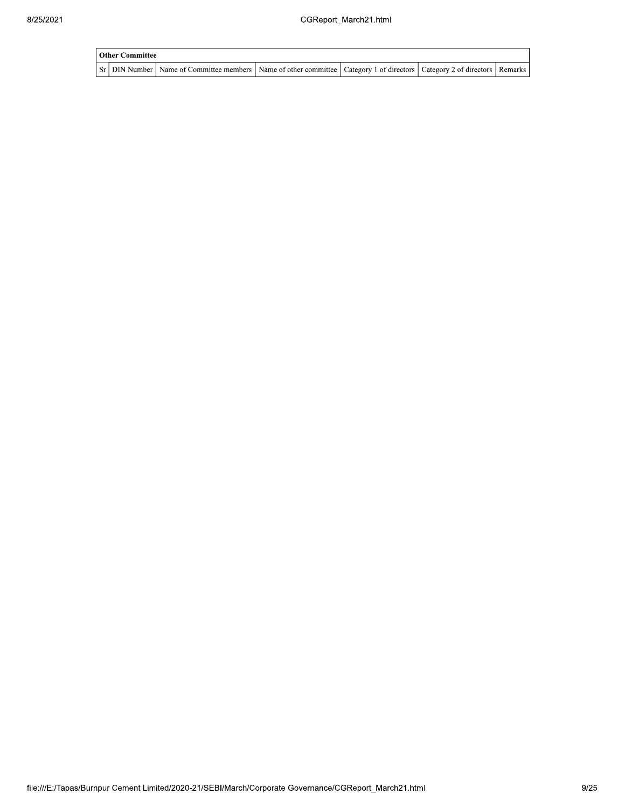| Other Committee |                                                                                                                                     |  |  |  |  |  |  |  |
|-----------------|-------------------------------------------------------------------------------------------------------------------------------------|--|--|--|--|--|--|--|
|                 | Sr   DIN Number   Name of Committee members   Name of other committee   Category 1 of directors   Category 2 of directors   Remarks |  |  |  |  |  |  |  |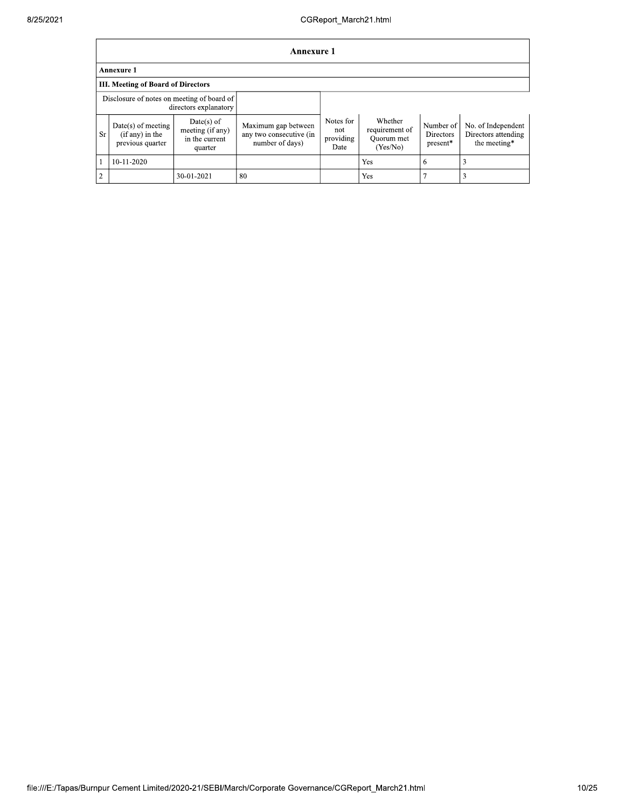|                | <b>Annexure 1</b>                                                   |                                                               |                                                                   |                                       |                                                     |                                    |                                                           |  |  |  |  |
|----------------|---------------------------------------------------------------------|---------------------------------------------------------------|-------------------------------------------------------------------|---------------------------------------|-----------------------------------------------------|------------------------------------|-----------------------------------------------------------|--|--|--|--|
|                | <b>Annexure 1</b>                                                   |                                                               |                                                                   |                                       |                                                     |                                    |                                                           |  |  |  |  |
|                | <b>III. Meeting of Board of Directors</b>                           |                                                               |                                                                   |                                       |                                                     |                                    |                                                           |  |  |  |  |
|                | Disclosure of notes on meeting of board of<br>directors explanatory |                                                               |                                                                   |                                       |                                                     |                                    |                                                           |  |  |  |  |
| Sr.            | $Date(s)$ of meeting<br>$(if any)$ in the<br>previous quarter       | $Date(s)$ of<br>meeting (if any)<br>in the current<br>quarter | Maximum gap between<br>any two consecutive (in<br>number of days) | Notes for<br>not<br>providing<br>Date | Whether<br>requirement of<br>Ouorum met<br>(Yes/No) | Number of<br>Directors<br>present* | No. of Independent<br>Directors attending<br>the meeting* |  |  |  |  |
|                | 10-11-2020                                                          |                                                               |                                                                   |                                       | Yes                                                 | 6                                  |                                                           |  |  |  |  |
| $\overline{2}$ |                                                                     | 30-01-2021                                                    | 80                                                                |                                       | Yes                                                 |                                    |                                                           |  |  |  |  |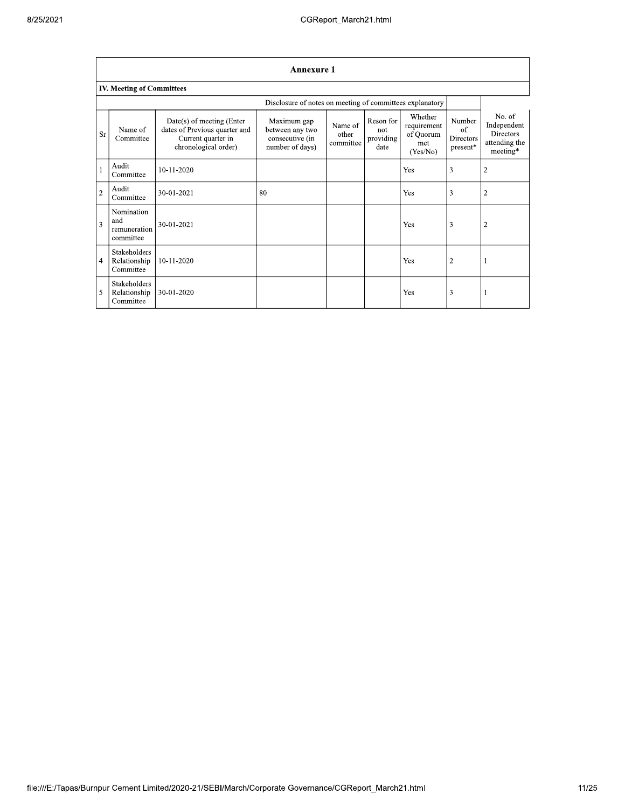|                | <b>Annexure 1</b>                                        |                                                                                                            |                                                                      |                               |                                       |                                                        |                                                          |                                                                 |  |  |  |
|----------------|----------------------------------------------------------|------------------------------------------------------------------------------------------------------------|----------------------------------------------------------------------|-------------------------------|---------------------------------------|--------------------------------------------------------|----------------------------------------------------------|-----------------------------------------------------------------|--|--|--|
|                | <b>IV. Meeting of Committees</b>                         |                                                                                                            |                                                                      |                               |                                       |                                                        |                                                          |                                                                 |  |  |  |
|                | Disclosure of notes on meeting of committees explanatory |                                                                                                            |                                                                      |                               |                                       |                                                        |                                                          |                                                                 |  |  |  |
| Sr             | Name of<br>Committee                                     | $Date(s)$ of meeting (Enter<br>dates of Previous quarter and<br>Current quarter in<br>chronological order) | Maximum gap<br>between any two<br>consecutive (in<br>number of days) | Name of<br>other<br>committee | Reson for<br>not<br>providing<br>date | Whether<br>requirement<br>of Quorum<br>met<br>(Yes/No) | Number<br>of<br><b>Directors</b><br>$\mathtt{present}^*$ | No. of<br>Independent<br>Directors<br>attending the<br>meeting* |  |  |  |
| $\mathbf{1}$   | Audit<br>Committee                                       | 10-11-2020                                                                                                 |                                                                      |                               |                                       | Yes                                                    | 3                                                        | $\overline{2}$                                                  |  |  |  |
| $\overline{2}$ | Audit<br>Committee                                       | 30-01-2021                                                                                                 | 80                                                                   |                               |                                       | Yes                                                    | 3                                                        | 2                                                               |  |  |  |
| 3              | Nomination<br>and<br>remuneration<br>committee           | 30-01-2021                                                                                                 |                                                                      |                               |                                       | Yes                                                    | 3                                                        | 2                                                               |  |  |  |
| $\overline{4}$ | Stakeholders<br>Relationship<br>Committee                | 10-11-2020                                                                                                 |                                                                      |                               |                                       | Yes                                                    | $\overline{2}$                                           |                                                                 |  |  |  |
| 5              | <b>Stakeholders</b><br>Relationship<br>Committee         | 30-01-2020                                                                                                 |                                                                      |                               |                                       | Yes                                                    | 3                                                        |                                                                 |  |  |  |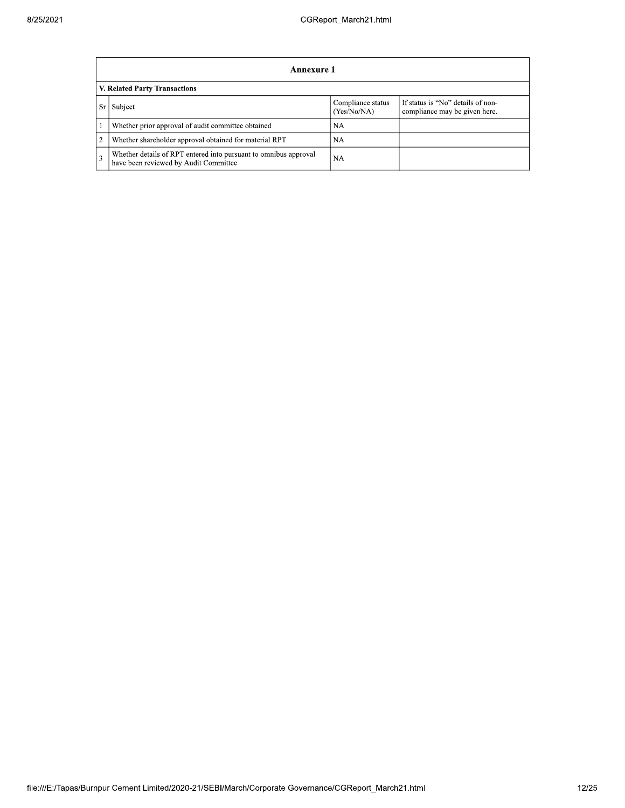|                | Annexure 1                                                                                                |                                  |                                                                    |  |  |  |
|----------------|-----------------------------------------------------------------------------------------------------------|----------------------------------|--------------------------------------------------------------------|--|--|--|
|                | V. Related Party Transactions                                                                             |                                  |                                                                    |  |  |  |
| Sr             | Subject                                                                                                   | Compliance status<br>(Yes/No/NA) | If status is "No" details of non-<br>compliance may be given here. |  |  |  |
|                | Whether prior approval of audit committee obtained                                                        | NA                               |                                                                    |  |  |  |
| $\overline{2}$ | Whether shareholder approval obtained for material RPT                                                    | NA                               |                                                                    |  |  |  |
| 3              | Whether details of RPT entered into pursuant to omnibus approval<br>have been reviewed by Audit Committee | <b>NA</b>                        |                                                                    |  |  |  |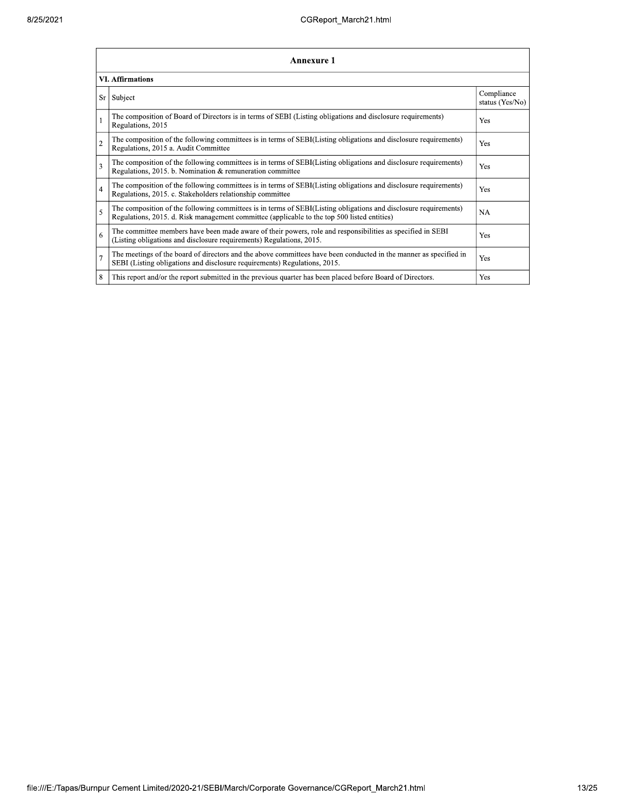| 25/2021 |                | CGReport March21.html                                                                                                                                                                                           |                               |
|---------|----------------|-----------------------------------------------------------------------------------------------------------------------------------------------------------------------------------------------------------------|-------------------------------|
|         |                | <b>Annexure 1</b>                                                                                                                                                                                               |                               |
|         |                | <b>VI. Affirmations</b>                                                                                                                                                                                         |                               |
|         |                | Sr Subject                                                                                                                                                                                                      | Compliance<br>status (Yes/No) |
|         |                | The composition of Board of Directors is in terms of SEBI (Listing obligations and disclosure requirements)<br>Regulations, 2015                                                                                | Yes                           |
|         | $\overline{c}$ | The composition of the following committees is in terms of SEBI(Listing obligations and disclosure requirements)<br>Regulations, 2015 a. Audit Committee                                                        | Yes                           |
|         | 3              | The composition of the following committees is in terms of SEBI(Listing obligations and disclosure requirements)<br>Regulations, 2015. b. Nomination & remuneration committee                                   | Yes                           |
|         | 4              | The composition of the following committees is in terms of SEBI(Listing obligations and disclosure requirements)<br>Regulations, 2015. c. Stakeholders relationship committee                                   | Yes                           |
|         |                | The composition of the following committees is in terms of SEBI(Listing obligations and disclosure requirements)<br>Regulations, 2015. d. Risk management committee (applicable to the top 500 listed entities) | NA                            |
|         | 6              | The committee members have been made aware of their powers, role and responsibilities as specified in SEBI<br>(Listing obligations and disclosure requirements) Regulations, 2015.                              | Yes                           |
|         |                | The meetings of the board of directors and the above committees have been conducted in the manner as specified in<br>SEBI (Listing obligations and disclosure requirements) Regulations, 2015.                  | Yes                           |
|         | 8              | This report and/or the report submitted in the previous quarter has been placed before Board of Directors.                                                                                                      | Yes                           |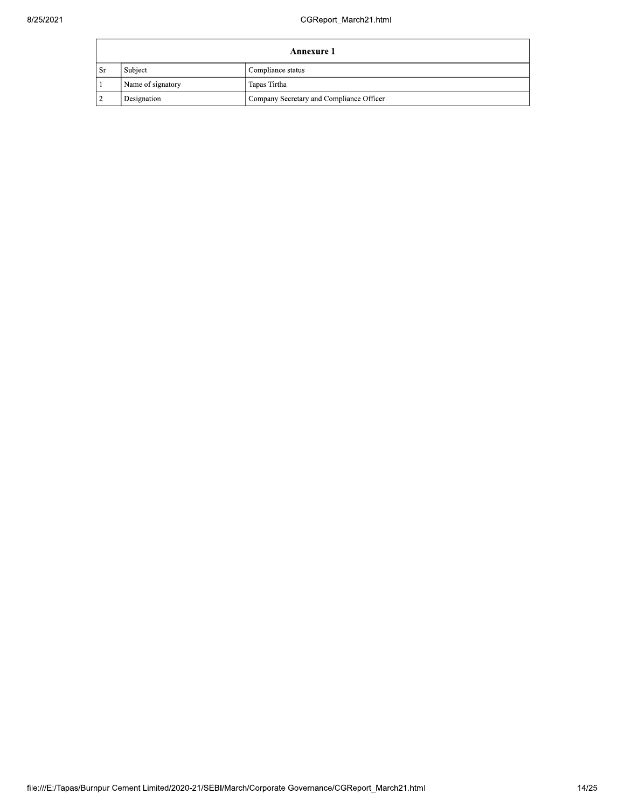|      | <b>Annexure 1</b> |                                          |  |  |  |
|------|-------------------|------------------------------------------|--|--|--|
| . Sr | Subject           | Compliance status                        |  |  |  |
|      | Name of signatory | Tapas Tirtha                             |  |  |  |
|      | Designation       | Company Secretary and Compliance Officer |  |  |  |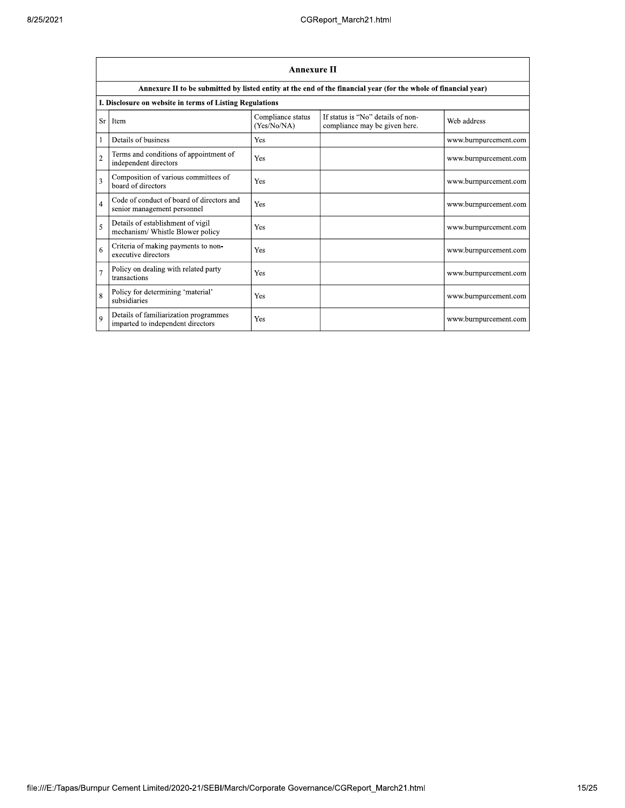|                | <b>Annexure II</b>                                                         |                                  |                                                                                                                 |                       |  |
|----------------|----------------------------------------------------------------------------|----------------------------------|-----------------------------------------------------------------------------------------------------------------|-----------------------|--|
|                |                                                                            |                                  | Annexure II to be submitted by listed entity at the end of the financial year (for the whole of financial year) |                       |  |
|                | I. Disclosure on website in terms of Listing Regulations                   |                                  |                                                                                                                 |                       |  |
| <b>Sr</b>      | Item                                                                       | Compliance status<br>(Yes/No/NA) | If status is "No" details of non-<br>compliance may be given here.                                              | Web address           |  |
| 1              | Details of business                                                        | Yes                              |                                                                                                                 | www.burnpurcement.com |  |
| $\overline{2}$ | Terms and conditions of appointment of<br>independent directors            | Yes                              |                                                                                                                 | www.burnpurcement.com |  |
| 3              | Composition of various committees of<br>board of directors                 | Yes                              |                                                                                                                 | www.burnpurcement.com |  |
| $\overline{4}$ | Code of conduct of board of directors and<br>senior management personnel   | Yes                              |                                                                                                                 | www.burnpurcement.com |  |
| 5              | Details of establishment of vigil<br>mechanism/ Whistle Blower policy      | Yes                              |                                                                                                                 | www.burnpurcement.com |  |
| 6              | Criteria of making payments to non-<br>executive directors                 | Yes                              |                                                                                                                 | www.burnpurcement.com |  |
| $\overline{7}$ | Policy on dealing with related party<br>transactions                       | Yes                              |                                                                                                                 | www.burnpurcement.com |  |
| 8              | Policy for determining 'material'<br>subsidiaries                          | Yes                              |                                                                                                                 | www.burnpurcement.com |  |
| $\mathbf Q$    | Details of familiarization programmes<br>imparted to independent directors | Yes                              |                                                                                                                 | www.burnpurcement.com |  |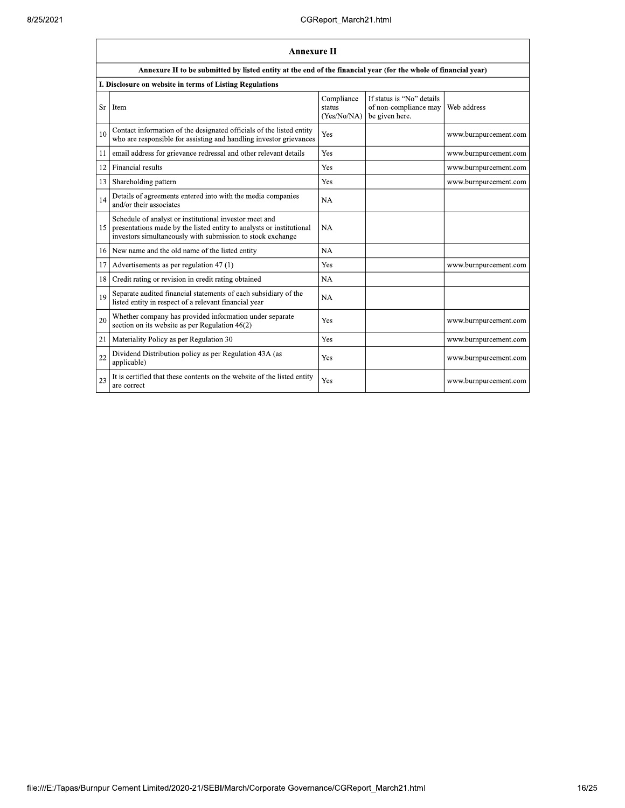|    | <b>Annexure II</b>                                                                                                                                                                           |                                     |                                                                      |                       |  |
|----|----------------------------------------------------------------------------------------------------------------------------------------------------------------------------------------------|-------------------------------------|----------------------------------------------------------------------|-----------------------|--|
|    | Annexure II to be submitted by listed entity at the end of the financial year (for the whole of financial year)                                                                              |                                     |                                                                      |                       |  |
|    | I. Disclosure on website in terms of Listing Regulations                                                                                                                                     |                                     |                                                                      |                       |  |
| Sr | Item                                                                                                                                                                                         | Compliance<br>status<br>(Yes/No/NA) | If status is "No" details<br>of non-compliance may<br>be given here. | Web address           |  |
| 10 | Contact information of the designated officials of the listed entity<br>who are responsible for assisting and handling investor grievances                                                   | Yes                                 |                                                                      | www.burnpurcement.com |  |
| 11 | email address for grievance redressal and other relevant details                                                                                                                             | Yes                                 |                                                                      | www.burnpurcement.com |  |
| 12 | Financial results                                                                                                                                                                            | Yes                                 |                                                                      | www.burnpurcement.com |  |
| 13 | Shareholding pattern                                                                                                                                                                         | Yes                                 |                                                                      | www.burnpurcement.com |  |
| 14 | Details of agreements entered into with the media companies<br>and/or their associates                                                                                                       | <b>NA</b>                           |                                                                      |                       |  |
| 15 | Schedule of analyst or institutional investor meet and<br>presentations made by the listed entity to analysts or institutional<br>investors simultaneously with submission to stock exchange | <b>NA</b>                           |                                                                      |                       |  |
| 16 | New name and the old name of the listed entity                                                                                                                                               | <b>NA</b>                           |                                                                      |                       |  |
| 17 | Advertisements as per regulation 47 (1)                                                                                                                                                      | Yes                                 |                                                                      | www.burnpurcement.com |  |
| 18 | Credit rating or revision in credit rating obtained                                                                                                                                          | NA                                  |                                                                      |                       |  |
| 19 | Separate audited financial statements of each subsidiary of the<br>listed entity in respect of a relevant financial year                                                                     | NA                                  |                                                                      |                       |  |
| 20 | Whether company has provided information under separate<br>section on its website as per Regulation $46(2)$                                                                                  | Yes                                 |                                                                      | www.burnpurcement.com |  |
| 21 | Materiality Policy as per Regulation 30                                                                                                                                                      | Yes                                 |                                                                      | www.burnpurcement.com |  |
| 22 | Dividend Distribution policy as per Regulation 43A (as<br>applicable)                                                                                                                        | Yes                                 |                                                                      | www.burnpurcement.com |  |
| 23 | It is certified that these contents on the website of the listed entity<br>are correct                                                                                                       | Yes                                 |                                                                      | www.burnpurcement.com |  |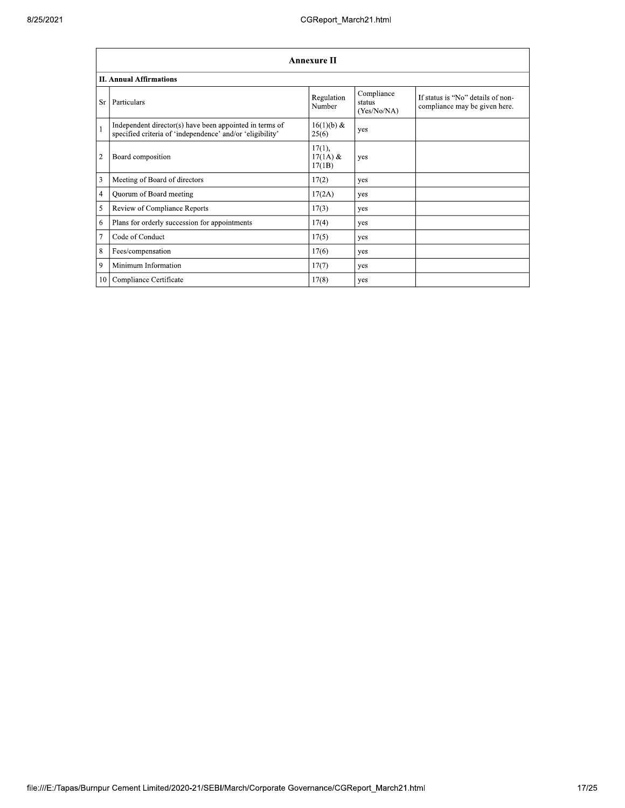|                | <b>Annexure II</b>                                                                                                   |                                |                                     |                                                                    |  |  |
|----------------|----------------------------------------------------------------------------------------------------------------------|--------------------------------|-------------------------------------|--------------------------------------------------------------------|--|--|
|                | <b>II. Annual Affirmations</b>                                                                                       |                                |                                     |                                                                    |  |  |
| Sr             | Particulars                                                                                                          | Regulation<br>Number           | Compliance<br>status<br>(Yes/No/NA) | If status is "No" details of non-<br>compliance may be given here. |  |  |
| $\mathbf{1}$   | Independent director(s) have been appointed in terms of<br>specified criteria of 'independence' and/or 'eligibility' | 16(1)(b) &<br>25(6)            | yes                                 |                                                                    |  |  |
| $\overline{2}$ | Board composition                                                                                                    | 17(1),<br>$17(1A)$ &<br>17(1B) | yes                                 |                                                                    |  |  |
| 3              | Meeting of Board of directors                                                                                        | 17(2)                          | yes                                 |                                                                    |  |  |
| $\overline{4}$ | Quorum of Board meeting                                                                                              | 17(2A)                         | yes                                 |                                                                    |  |  |
| 5              | Review of Compliance Reports                                                                                         | 17(3)                          | yes                                 |                                                                    |  |  |
| 6              | Plans for orderly succession for appointments                                                                        | 17(4)                          | yes                                 |                                                                    |  |  |
| $\tau$         | Code of Conduct                                                                                                      | 17(5)                          | yes                                 |                                                                    |  |  |
| $\,$ 8 $\,$    | Fees/compensation                                                                                                    | 17(6)                          | yes                                 |                                                                    |  |  |
| 9              | Minimum Information                                                                                                  | 17(7)                          | yes                                 |                                                                    |  |  |
|                | 10 Compliance Certificate                                                                                            | 17(8)                          | yes                                 |                                                                    |  |  |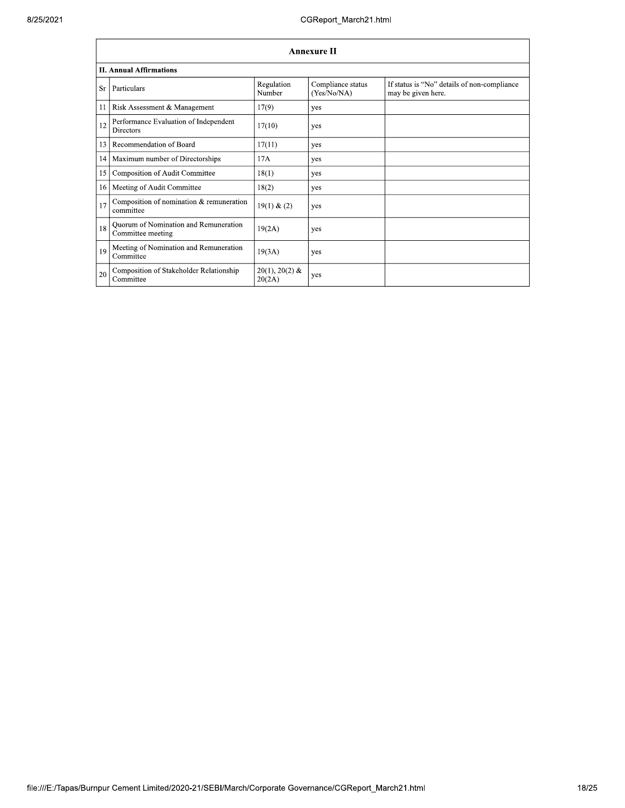|    | <b>Annexure II</b>                                         |                            |                                  |                                                                   |  |
|----|------------------------------------------------------------|----------------------------|----------------------------------|-------------------------------------------------------------------|--|
|    | <b>II. Annual Affirmations</b>                             |                            |                                  |                                                                   |  |
| Sr | Particulars                                                | Regulation<br>Number       | Compliance status<br>(Yes/No/NA) | If status is "No" details of non-compliance<br>may be given here. |  |
| 11 | Risk Assessment & Management                               | 17(9)                      | yes                              |                                                                   |  |
| 12 | Performance Evaluation of Independent<br><b>Directors</b>  | 17(10)                     | yes                              |                                                                   |  |
| 13 | Recommendation of Board                                    | 17(11)                     | yes                              |                                                                   |  |
| 14 | Maximum number of Directorships                            | 17A                        | yes                              |                                                                   |  |
| 15 | Composition of Audit Committee                             | 18(1)                      | yes                              |                                                                   |  |
| 16 | Meeting of Audit Committee                                 | 18(2)                      | yes                              |                                                                   |  |
| 17 | Composition of nomination & remuneration<br>committee      | 19(1) & (2)                | yes                              |                                                                   |  |
| 18 | Quorum of Nomination and Remuneration<br>Committee meeting | 19(2A)                     | yes                              |                                                                   |  |
| 19 | Meeting of Nomination and Remuneration<br>Committee        | 19(3A)                     | yes                              |                                                                   |  |
| 20 | Composition of Stakeholder Relationship<br>Committee       | $20(1), 20(2)$ &<br>20(2A) | yes                              |                                                                   |  |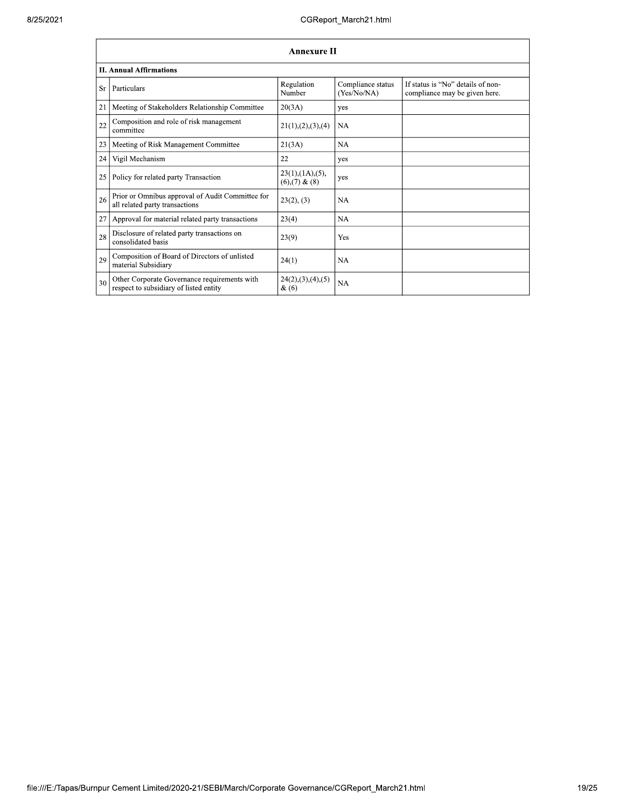|    | <b>Annexure II</b>                                                                     |                                                 |                                  |                                                                    |  |  |
|----|----------------------------------------------------------------------------------------|-------------------------------------------------|----------------------------------|--------------------------------------------------------------------|--|--|
|    | <b>II. Annual Affirmations</b>                                                         |                                                 |                                  |                                                                    |  |  |
| Sr | Particulars                                                                            | Regulation<br>Number                            | Compliance status<br>(Yes/No/NA) | If status is "No" details of non-<br>compliance may be given here. |  |  |
| 21 | Meeting of Stakeholders Relationship Committee                                         | 20(3A)                                          | yes                              |                                                                    |  |  |
| 22 | Composition and role of risk management<br>committee                                   | 21(1), (2), (3), (4)                            | <b>NA</b>                        |                                                                    |  |  |
| 23 | Meeting of Risk Management Committee                                                   | 21(3A)                                          | <b>NA</b>                        |                                                                    |  |  |
| 24 | Vigil Mechanism                                                                        | 22                                              | yes                              |                                                                    |  |  |
| 25 | Policy for related party Transaction                                                   | $23(1)$ , $(1A)$ , $(5)$ ,<br>$(6),(7)$ & $(8)$ | yes                              |                                                                    |  |  |
| 26 | Prior or Omnibus approval of Audit Committee for<br>all related party transactions     | 23(2), (3)                                      | <b>NA</b>                        |                                                                    |  |  |
| 27 | Approval for material related party transactions                                       | 23(4)                                           | <b>NA</b>                        |                                                                    |  |  |
| 28 | Disclosure of related party transactions on<br>consolidated basis                      | 23(9)                                           | Yes                              |                                                                    |  |  |
| 29 | Composition of Board of Directors of unlisted<br>material Subsidiary                   | 24(1)                                           | <b>NA</b>                        |                                                                    |  |  |
| 30 | Other Corporate Governance requirements with<br>respect to subsidiary of listed entity | 24(2),(3),(4),(5)<br>$\&(6)$                    | <b>NA</b>                        |                                                                    |  |  |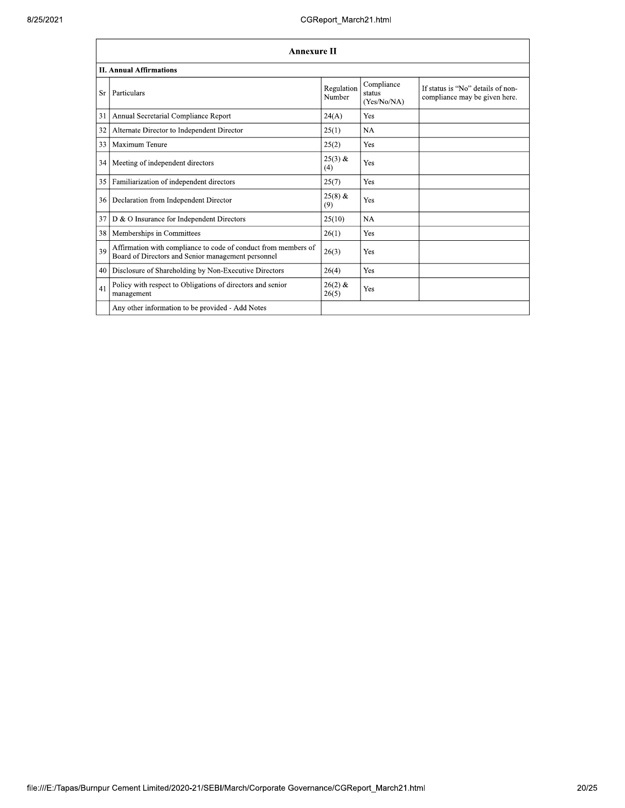|    | <b>Annexure II</b>                                                                                                   |                      |                                     |                                                                    |  |
|----|----------------------------------------------------------------------------------------------------------------------|----------------------|-------------------------------------|--------------------------------------------------------------------|--|
|    | <b>II. Annual Affirmations</b>                                                                                       |                      |                                     |                                                                    |  |
| Sr | Particulars                                                                                                          | Regulation<br>Number | Compliance<br>status<br>(Yes/No/NA) | If status is "No" details of non-<br>compliance may be given here. |  |
| 31 | Annual Secretarial Compliance Report                                                                                 | 24(A)                | Yes                                 |                                                                    |  |
| 32 | Alternate Director to Independent Director                                                                           | 25(1)                | <b>NA</b>                           |                                                                    |  |
| 33 | Maximum Tenure                                                                                                       | 25(2)                | Yes                                 |                                                                    |  |
| 34 | Meeting of independent directors                                                                                     | $25(3)$ &<br>(4)     | Yes                                 |                                                                    |  |
| 35 | Familiarization of independent directors                                                                             | 25(7)                | Yes                                 |                                                                    |  |
| 36 | Declaration from Independent Director                                                                                | $25(8)$ &<br>(9)     | Yes                                 |                                                                    |  |
| 37 | D & O Insurance for Independent Directors                                                                            | 25(10)               | NA                                  |                                                                    |  |
| 38 | Memberships in Committees                                                                                            | 26(1)                | Yes                                 |                                                                    |  |
| 39 | Affirmation with compliance to code of conduct from members of<br>Board of Directors and Senior management personnel | 26(3)                | Yes                                 |                                                                    |  |
| 40 | Disclosure of Shareholding by Non-Executive Directors                                                                | 26(4)                | Yes                                 |                                                                    |  |
| 41 | Policy with respect to Obligations of directors and senior<br>management                                             | $26(2)$ &<br>26(5)   | Yes                                 |                                                                    |  |
|    | Any other information to be provided - Add Notes                                                                     |                      |                                     |                                                                    |  |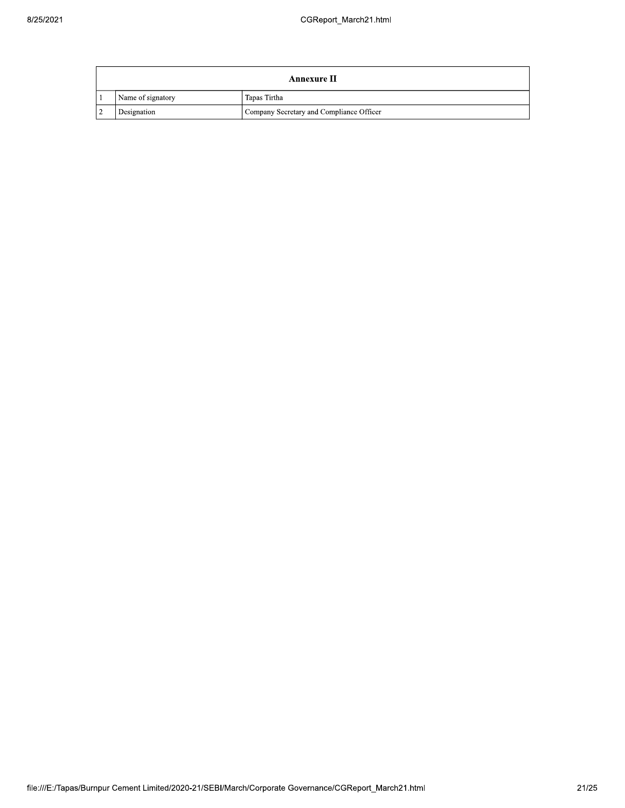|               |                   | Annexure II                              |
|---------------|-------------------|------------------------------------------|
|               | Name of signatory | Tapas Tirtha                             |
| $\mathcal{L}$ | Designation       | Company Secretary and Compliance Officer |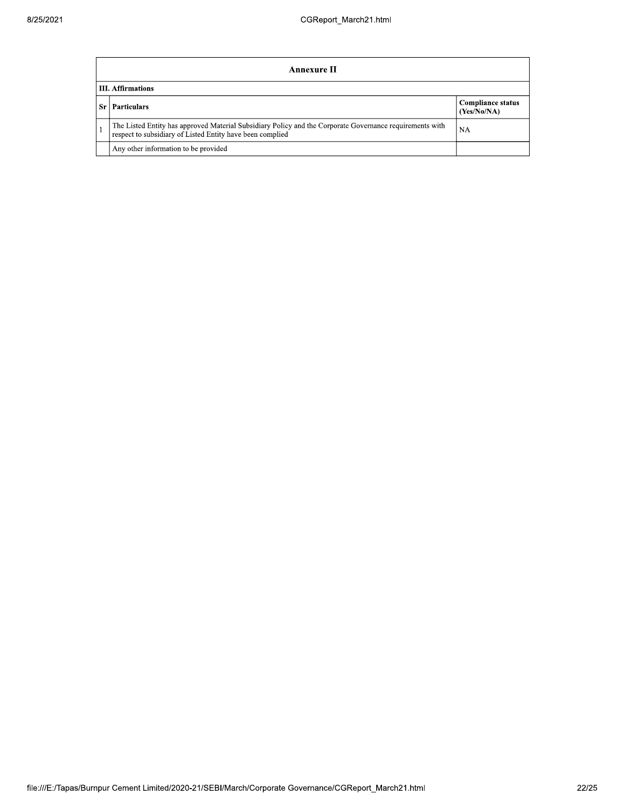|    | Annexure II                                                                                                                                                           |                                         |  |  |  |
|----|-----------------------------------------------------------------------------------------------------------------------------------------------------------------------|-----------------------------------------|--|--|--|
|    | <b>III.</b> Affirmations                                                                                                                                              |                                         |  |  |  |
| Sr | <b>Particulars</b>                                                                                                                                                    | <b>Compliance status</b><br>(Yes/No/NA) |  |  |  |
|    | The Listed Entity has approved Material Subsidiary Policy and the Corporate Governance requirements with<br>respect to subsidiary of Listed Entity have been complied | NA                                      |  |  |  |
|    | Any other information to be provided                                                                                                                                  |                                         |  |  |  |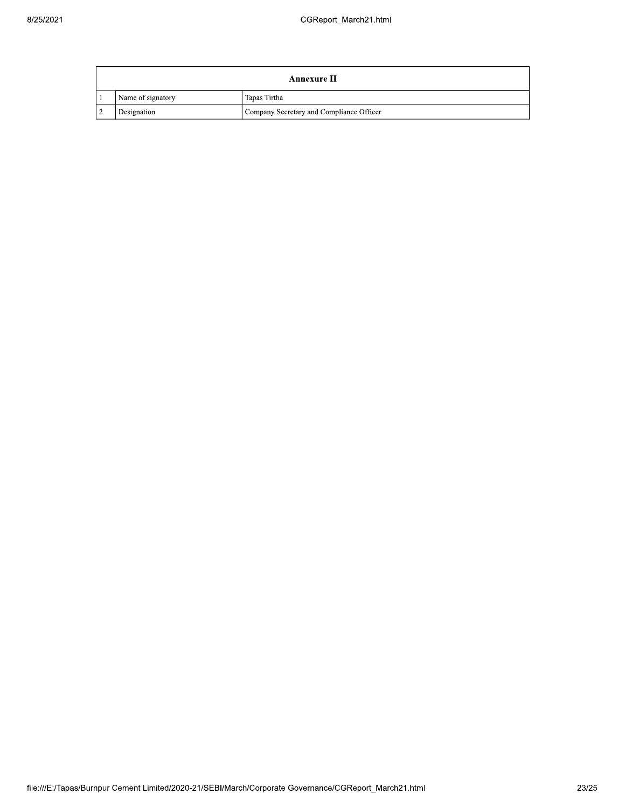|               |                   | Annexure II                              |
|---------------|-------------------|------------------------------------------|
|               | Name of signatory | Tapas Tirtha                             |
| $\mathcal{L}$ | Designation       | Company Secretary and Compliance Officer |